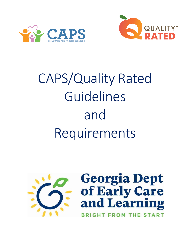



# CAPS/Quality Rated Guidelines and Requirements



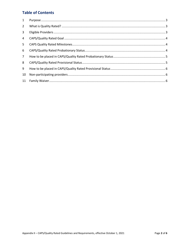### **Table of Contents**

| 1               |  |
|-----------------|--|
| $\overline{2}$  |  |
| 3               |  |
| 4               |  |
| 5               |  |
| 6               |  |
| $7\overline{ }$ |  |
| 8               |  |
| 9               |  |
| 10              |  |
| 11              |  |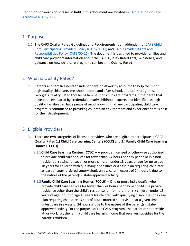## <span id="page-2-0"></span>1 Purpose

1.1 The CAPS Quality Rated Guidelines and Requirements is an addendum of [CAPS Child](https://caps.decal.ga.gov/assets/downloads/CAPS/11-CAPS_Policy-Participating%20Providers.pdf)  [Care Participating Providers Policy \(CAPS/00-11\)](https://caps.decal.ga.gov/assets/downloads/CAPS/11-CAPS_Policy-Participating%20Providers.pdf) and [CAPS Provider Rights and](https://caps.decal.ga.gov/assets/downloads/CAPS/12-CAPS_Policy-Child%20Care%20Provider%20Rights%20&%20Responsibilities.pdf)  [Responsibilities Policy \(CAPS/00-11\).](https://caps.decal.ga.gov/assets/downloads/CAPS/12-CAPS_Policy-Child%20Care%20Provider%20Rights%20&%20Responsibilities.pdf) The document is designed to provide families and child care providers information about the CAPS Quality Rated goal, milestones, and guidance on how child care programs can become **Quality Rated**.

# <span id="page-2-1"></span>2 What is Quality Rated?

2.1 Parents and families need an independent, trustworthy resource to help them find high-quality child care, preschool, before and after-school, and pre-K programs. Georgia's Quality Rated tool helps families find child care programs in their area that have been evaluated by credentialed early childhood experts and identified as highquality. Families can have peace of mind knowing that any participating child care program is committed to providing children an environment and experience that is best for their development.

# <span id="page-2-2"></span>3 Eligible Providers

- 3.1 There are two categories of licensed providers who are eligible to participate in CAPS Quality Rated **1.) Child Care Learning Centers (CCLC)** and **2.) Family Child Care Learning Homes** (FCCLH).
	- 3.1.1**Child Care Learning Centers (CCLC)** A provider licensed or otherwise authorized to provide child care services for fewer than 24 hours per day per child in a nonresidential setting for seven or more children under 13 years of age (or up to age 18 years for children with qualifying disabilities or a case plan requiring child care as part of court-ordered supervision), unless care in excess of 24 hours is due to the nature of the parent(s)' state-approved activity.
	- 3.1.2**Family Child Care Learning Homes (FCCLH)** One or more individual(s) who provide child care services for fewer than 24 hours per day per child in a private residence other than the child's residence for no more than six children under 13 years of age (or up to age 18 years for children with qualifying disabilities or a case plan requiring child care as part of court-ordered supervision) at a given time, unless care in excess of 24 hours is due to the nature of the parent(s)' stateapproved activity For the purpose of the CAPS program, the parent cannot reside at, or work for, the family child care learning home that receives subsidies for the parent's children.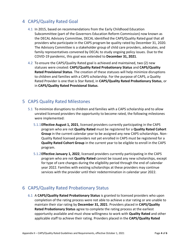# <span id="page-3-0"></span>4 CAPS/Quality Rated Goal

- 4.1 In 2015, based on recommendations from the Early Childhood Education Subcommittee (part of the Governors Education Reform Commission) now known as the DECAL Advisory Committee, DECAL identified the CAPS/Quality Rated goal that all providers who participate in the CAPS program be quality rated by December 31, 2020. The Advisory Committee is a stakeholder group of child care providers, advocates, and family representatives convened by DECAL to study ongoing policy issues. Due to the COVID-19 pandemic, this goal was extended to **December 31, 2021**.
- 4.2 To ensure the CAPS/Quality Rated goal is achieved and maintained, two (2) new statuses were created: **CAPS/Quality Rated Probationary Status** and **CAPS/Quality Rated Provisional Status**. The creation of these statuses will help minimize disruptions to children and families with a CAPS scholarship. For the purpose of CAPS, a Quality Rated Provider is one that is Star Rated, in **CAPS/Quality Rated Probationary Status**, or in **CAPS/Quality Rated Provisional Status**.

## <span id="page-3-1"></span>5 CAPS Quality Rated Milestones

- 5.1 To minimize disruptions to children and families with a CAPS scholarship and to allow unrated licensed providers the opportunity to become rated, the following milestones were implemented:
	- 5.1.1**Effective August 1, 2021**, licensed providers currently participating in the CAPS program who are not **Quality Rated** must be registered for a **Quality Rated Cohort Group** in the current calendar year to be assigned any new CAPS scholarships. Non-Quality Rated licensed providers not yet enrolled in CAPS must be registered for a **Quality Rated Cohort Group** in the current year to be eligible to enroll in the CAPS program.
	- 5.1.2**Effective January 1, 2022**, licensed providers currently participating in the CAPS program who are not **Quality Rated** cannot be issued any new scholarships, except for type of care changes during the eligibility period through the end of calendar year 2022. Families with existing scholarships at these providers may continue services with the provider until their redetermination in calendar year 2022.

# <span id="page-3-2"></span>6 CAPS/Quality Rated Probationary Status

6.1 A **CAPS/Quality Rated Probationary Status** is granted to licensed providers who upon completion of the rating process were not able to achieve a star rating or are unable to maintain their star rating by **December 31, 2021**. Providers placed in **CAPS/Quality Rated Probationary Status** agree to complete the rating process at the earliest opportunity available and must show willingness to work with **Quality Rated** and other applicable staff to achieve their rating. Providers placed in the **CAPS/Quality Rated**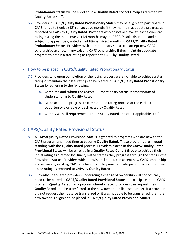**Probationary Status** will be enrolled in a **Quality Rated Cohort Group** as directed by Quality Rated staff.

6.2 Providers in **CAPS/Quality Rated Probationary Status** may be eligible to participate in CAPS for up to twelve (12) consecutive months if they maintain adequate progress as reported to CAPS by **Quality Rated**. Providers who do not achieve at least a one-star rating during the initial twelve (12) months may, at DECAL's sole discretion and not subject to appeal, be granted an additional six (6) months in **CAPS/Quality Rated Probationary Status**. Providers with a probationary status can accept new CAPS scholarships and retain any existing CAPS scholarships if they maintain adequate progress to obtain a star rating as reported to CAPS by **Quality Rated**.

#### <span id="page-4-0"></span>7 How to be placed in CAPS/Quality Rated Probationary Status

- 7.1 Providers who upon completion of the rating process were not able to achieve a star rating or maintain their star rating can be placed in **CAPS/Quality Rated Probationary Status** by adhering to the following:
	- a. Complete and submit the CAPS/QR Probationary Status Memorandum of Understanding to Quality Rated.
	- b. Make adequate progress to complete the rating process at the earliest opportunity available or as directed by Quality Rated.
	- c. Comply with all requirements from Quality Rated and other applicable staff.

## <span id="page-4-1"></span>8 CAPS/Quality Rated Provisional Status

- 8.1 A **CAPS/Quality Rated Provisional Status** is granted to programs who are new to the CAPS program and need time to become **Quality Rated**. These programs are in good standing with the **Quality Rated** process. Providers placed in the **CAPS/Quality Rated Provisional Status** will be enrolled in a **Quality Rated Cohort Group** to achieve their initial rating as directed by Quality Rated staff as they progress through the steps in the Provisional Status. Providers with a provisional status can accept new CAPS scholarships and retain any existing CAPS scholarships if they maintain adequate progress to obtain a star rating as reported to CAPS by **Quality Rated**.
- 8.2 Currently, Star-Rated providers undergoing a change of ownership will not typically need to be placed in **CAPS/Quality Rated Provisional Status** to participate in the CAPS program. **Quality Rated** has a process whereby rated providers can request their **Quality Rated** data be transferred to the new owner and license number. If a provider did not request their data be transferred or it was not able to be transferred, then the new owner is eligible to be placed in **CAPS/Quality Rated Provisional Status**.